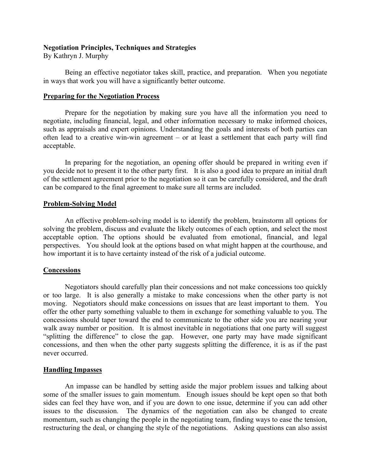#### **Negotiation Principles, Techniques and Strategies**

By Kathryn J. Murphy

Being an effective negotiator takes skill, practice, and preparation. When you negotiate in ways that work you will have a significantly better outcome.

#### **Preparing for the Negotiation Process**

Prepare for the negotiation by making sure you have all the information you need to negotiate, including financial, legal, and other information necessary to make informed choices, such as appraisals and expert opinions. Understanding the goals and interests of both parties can often lead to a creative win-win agreement – or at least a settlement that each party will find acceptable.

In preparing for the negotiation, an opening offer should be prepared in writing even if you decide not to present it to the other party first. It is also a good idea to prepare an initial draft of the settlement agreement prior to the negotiation so it can be carefully considered, and the draft can be compared to the final agreement to make sure all terms are included.

# **Problem-Solving Model**

An effective problem-solving model is to identify the problem, brainstorm all options for solving the problem, discuss and evaluate the likely outcomes of each option, and select the most acceptable option. The options should be evaluated from emotional, financial, and legal perspectives. You should look at the options based on what might happen at the courthouse, and how important it is to have certainty instead of the risk of a judicial outcome.

# **Concessions**

Negotiators should carefully plan their concessions and not make concessions too quickly or too large. It is also generally a mistake to make concessions when the other party is not moving. Negotiators should make concessions on issues that are least important to them. You offer the other party something valuable to them in exchange for something valuable to you. The concessions should taper toward the end to communicate to the other side you are nearing your walk away number or position. It is almost inevitable in negotiations that one party will suggest "splitting the difference" to close the gap. However, one party may have made significant concessions, and then when the other party suggests splitting the difference, it is as if the past never occurred.

# **Handling Impasses**

An impasse can be handled by setting aside the major problem issues and talking about some of the smaller issues to gain momentum. Enough issues should be kept open so that both sides can feel they have won, and if you are down to one issue, determine if you can add other issues to the discussion. The dynamics of the negotiation can also be changed to create momentum, such as changing the people in the negotiating team, finding ways to ease the tension, restructuring the deal, or changing the style of the negotiations. Asking questions can also assist